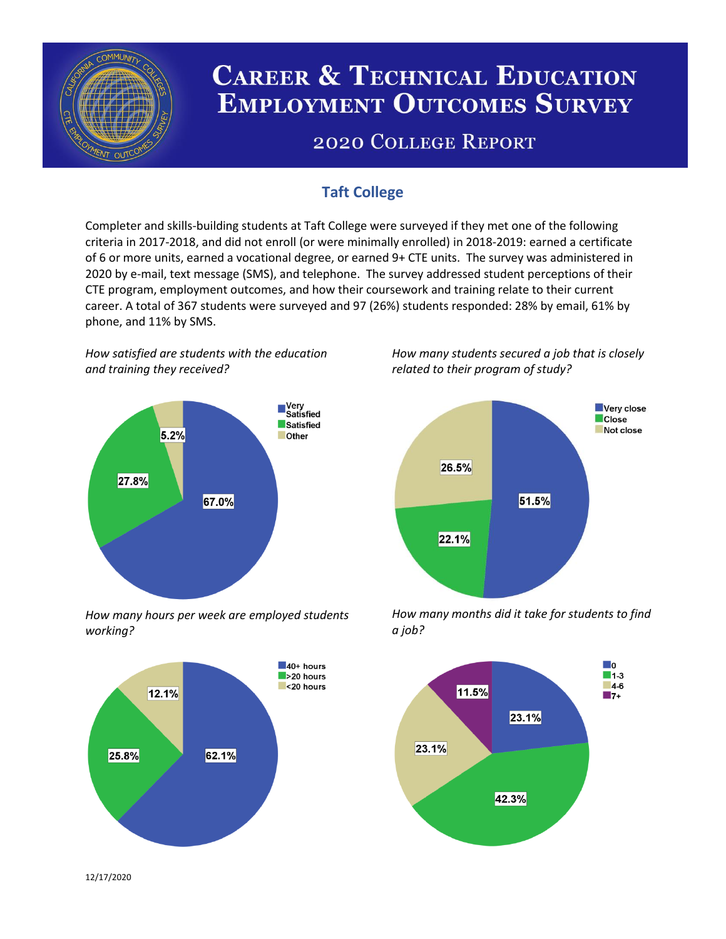

# **CAREER & TECHNICAL EDUCATION EMPLOYMENT OUTCOMES SURVEY**

## **2020 COLLEGE REPORT**

### **Taft College**

Completer and skills-building students at Taft College were surveyed if they met one of the following criteria in 2017-2018, and did not enroll (or were minimally enrolled) in 2018-2019: earned a certificate of 6 or more units, earned a vocational degree, or earned 9+ CTE units. The survey was administered in 2020 by e-mail, text message (SMS), and telephone. The survey addressed student perceptions of their CTE program, employment outcomes, and how their coursework and training relate to their current career. A total of 367 students were surveyed and 97 (26%) students responded: 28% by email, 61% by phone, and 11% by SMS.

*How satisfied are students with the education and training they received?*



*How many hours per week are employed students working?*



*How many students secured a job that is closely related to their program of study?*



*How many months did it take for students to find a job?*



12/17/2020